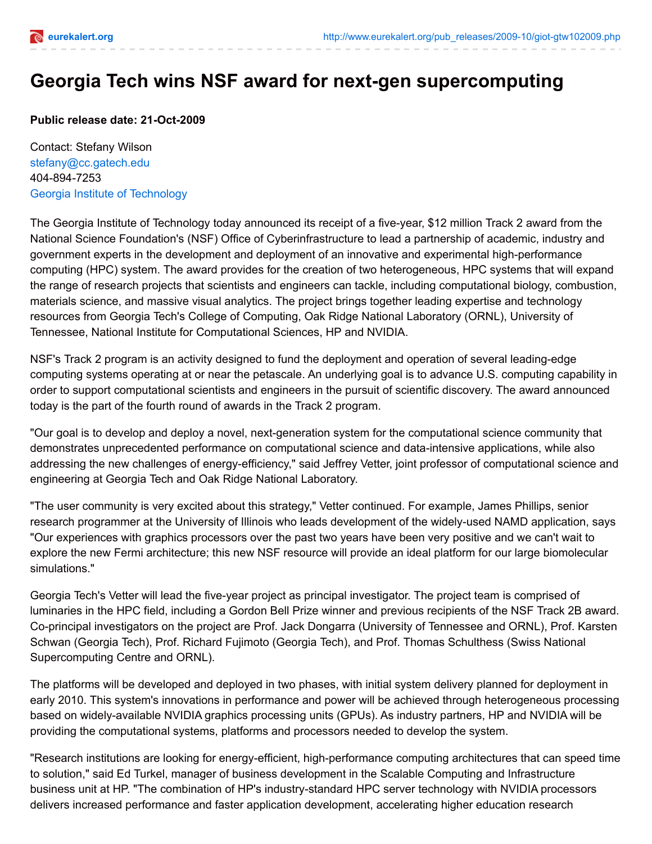

## **Georgia Tech wins NSF award for next-gen supercomputing**

**Public release date: 21-Oct-2009**

Contact: Stefany Wilson [stefany@cc.gatech.edu](mailto:stefany@cc.gatech.edu) 404-894-7253 Georgia Institute of [Technology](http://www.gatech.edu/)

The Georgia Institute of Technology today announced its receipt of a five-year, \$12 million Track 2 award from the National Science Foundation's (NSF) Office of Cyberinfrastructure to lead a partnership of academic, industry and government experts in the development and deployment of an innovative and experimental high-performance computing (HPC) system. The award provides for the creation of two heterogeneous, HPC systems that will expand the range of research projects that scientists and engineers can tackle, including computational biology, combustion, materials science, and massive visual analytics. The project brings together leading expertise and technology resources from Georgia Tech's College of Computing, Oak Ridge National Laboratory (ORNL), University of Tennessee, National Institute for Computational Sciences, HP and NVIDIA.

NSF's Track 2 program is an activity designed to fund the deployment and operation of several leading-edge computing systems operating at or near the petascale. An underlying goal is to advance U.S. computing capability in order to support computational scientists and engineers in the pursuit of scientific discovery. The award announced today is the part of the fourth round of awards in the Track 2 program.

"Our goal is to develop and deploy a novel, next-generation system for the computational science community that demonstrates unprecedented performance on computational science and data-intensive applications, while also addressing the new challenges of energy-efficiency," said Jeffrey Vetter, joint professor of computational science and engineering at Georgia Tech and Oak Ridge National Laboratory.

"The user community is very excited about this strategy," Vetter continued. For example, James Phillips, senior research programmer at the University of Illinois who leads development of the widely-used NAMD application, says "Our experiences with graphics processors over the past two years have been very positive and we can't wait to explore the new Fermi architecture; this new NSF resource will provide an ideal platform for our large biomolecular simulations."

Georgia Tech's Vetter will lead the five-year project as principal investigator. The project team is comprised of luminaries in the HPC field, including a Gordon Bell Prize winner and previous recipients of the NSF Track 2B award. Co-principal investigators on the project are Prof. Jack Dongarra (University of Tennessee and ORNL), Prof. Karsten Schwan (Georgia Tech), Prof. Richard Fujimoto (Georgia Tech), and Prof. Thomas Schulthess (Swiss National Supercomputing Centre and ORNL).

The platforms will be developed and deployed in two phases, with initial system delivery planned for deployment in early 2010. This system's innovations in performance and power will be achieved through heterogeneous processing based on widely-available NVIDIA graphics processing units (GPUs). As industry partners, HP and NVIDIA will be providing the computational systems, platforms and processors needed to develop the system.

"Research institutions are looking for energy-efficient, high-performance computing architectures that can speed time to solution," said Ed Turkel, manager of business development in the Scalable Computing and Infrastructure business unit at HP. "The combination of HP's industry-standard HPC server technology with NVIDIA processors delivers increased performance and faster application development, accelerating higher education research